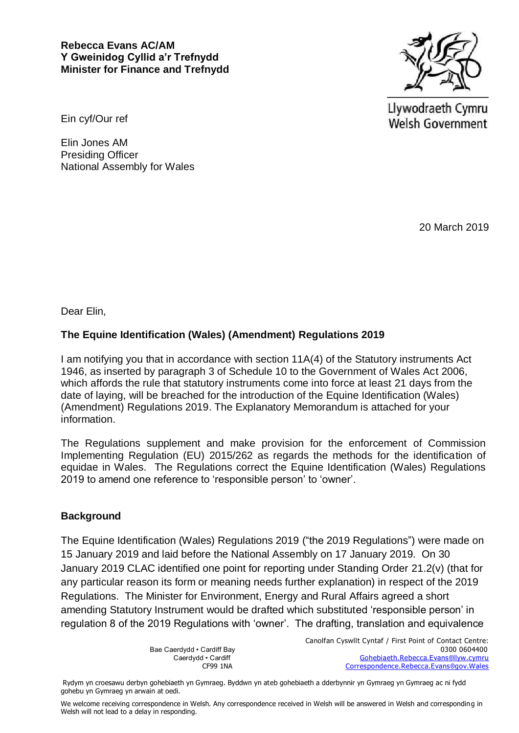## **Rebecca Evans AC/AM Y Gweinidog Cyllid a'r Trefnydd Minister for Finance and Trefnydd**



Llywodraeth Cymru Welsh Government

Ein cyf/Our ref

Elin Jones AM Presiding Officer National Assembly for Wales

20 March 2019

Dear Elin,

## **The Equine Identification (Wales) (Amendment) Regulations 2019**

I am notifying you that in accordance with section 11A(4) of the Statutory instruments Act 1946, as inserted by paragraph 3 of Schedule 10 to the Government of Wales Act 2006, which affords the rule that statutory instruments come into force at least 21 days from the date of laying, will be breached for the introduction of the Equine Identification (Wales) (Amendment) Regulations 2019. The Explanatory Memorandum is attached for your information.

The Regulations supplement and make provision for the enforcement of Commission Implementing Regulation (EU) 2015/262 as regards the methods for the identification of equidae in Wales. The Regulations correct the Equine Identification (Wales) Regulations 2019 to amend one reference to 'responsible person' to 'owner'.

## **Background**

The Equine Identification (Wales) Regulations 2019 ("the 2019 Regulations") were made on 15 January 2019 and laid before the National Assembly on 17 January 2019. On 30 January 2019 CLAC identified one point for reporting under Standing Order 21.2(v) (that for any particular reason its form or meaning needs further explanation) in respect of the 2019 Regulations. The Minister for Environment, Energy and Rural Affairs agreed a short amending Statutory Instrument would be drafted which substituted 'responsible person' in regulation 8 of the 2019 Regulations with 'owner'. The drafting, translation and equivalence

Canolfan Cyswllt Cyntaf / First Point of Contact Centre: Bae Caerdydd • Cardiff Bay 0300 0604400 Gohebiaeth.Rebecca.Evans®llyw.cymru CF99 1NA Correspondence.Rebecca.Evans®gov.Wales

Rydym yn croesawu derbyn gohebiaeth yn Gymraeg. Byddwn yn ateb gohebiaeth a dderbynnir yn Gymraeg yn Gymraeg ac ni fydd gohebu yn Gymraeg yn arwain at oedi.

We welcome receiving correspondence in Welsh. Any correspondence received in Welsh will be answered in Welsh and corresponding in Welsh will not lead to a delay in responding.